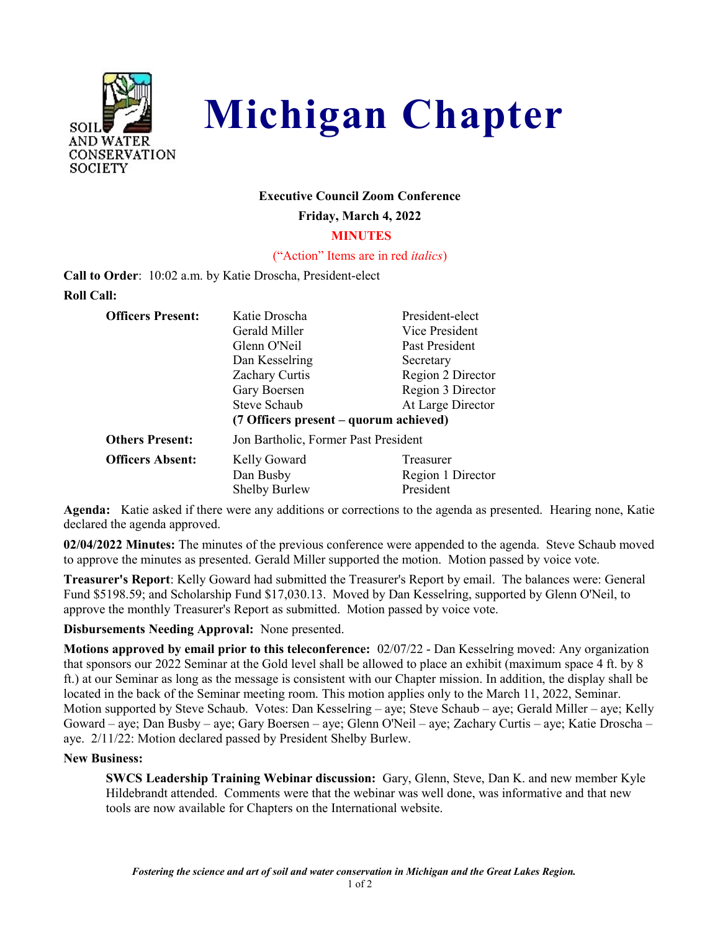



# **Executive Council Zoom Conference**

**Friday, March 4, 2022**

## **MINUTES**

## ("Action" Items are in red *italics*)

**Call to Order**: 10:02 a.m. by Katie Droscha, President-elect **Roll Call:**

| <b>Officers Present:</b> | Katie Droscha                          | President-elect   |
|--------------------------|----------------------------------------|-------------------|
|                          | Gerald Miller                          | Vice President    |
|                          | Glenn O'Neil                           | Past President    |
|                          | Dan Kesselring                         | Secretary         |
|                          | <b>Zachary Curtis</b>                  | Region 2 Director |
|                          | Gary Boersen                           | Region 3 Director |
|                          | <b>Steve Schaub</b>                    | At Large Director |
|                          | (7 Officers present – quorum achieved) |                   |
| <b>Others Present:</b>   | Jon Bartholic, Former Past President   |                   |
| <b>Officers Absent:</b>  | Kelly Goward                           | Treasurer         |
|                          | Dan Busby                              | Region 1 Director |
|                          | <b>Shelby Burlew</b>                   | President         |

**Agenda:** Katie asked if there were any additions or corrections to the agenda as presented. Hearing none, Katie declared the agenda approved.

**02/04/2022 Minutes:** The minutes of the previous conference were appended to the agenda. Steve Schaub moved to approve the minutes as presented. Gerald Miller supported the motion. Motion passed by voice vote.

**Treasurer's Report**: Kelly Goward had submitted the Treasurer's Report by email. The balances were: General Fund \$5198.59; and Scholarship Fund \$17,030.13. Moved by Dan Kesselring, supported by Glenn O'Neil, to approve the monthly Treasurer's Report as submitted. Motion passed by voice vote.

**Disbursements Needing Approval:** None presented.

**Motions approved by email prior to this teleconference:** 02/07/22 - Dan Kesselring moved: Any organization that sponsors our 2022 Seminar at the Gold level shall be allowed to place an exhibit (maximum space 4 ft. by 8 ft.) at our Seminar as long as the message is consistent with our Chapter mission. In addition, the display shall be located in the back of the Seminar meeting room. This motion applies only to the March 11, 2022, Seminar. Motion supported by Steve Schaub. Votes: Dan Kesselring – aye; Steve Schaub – aye; Gerald Miller – aye; Kelly Goward – aye; Dan Busby – aye; Gary Boersen – aye; Glenn O'Neil – aye; Zachary Curtis – aye; Katie Droscha – aye. 2/11/22: Motion declared passed by President Shelby Burlew.

# **New Business:**

**SWCS Leadership Training Webinar discussion:** Gary, Glenn, Steve, Dan K. and new member Kyle Hildebrandt attended. Comments were that the webinar was well done, was informative and that new tools are now available for Chapters on the International website.